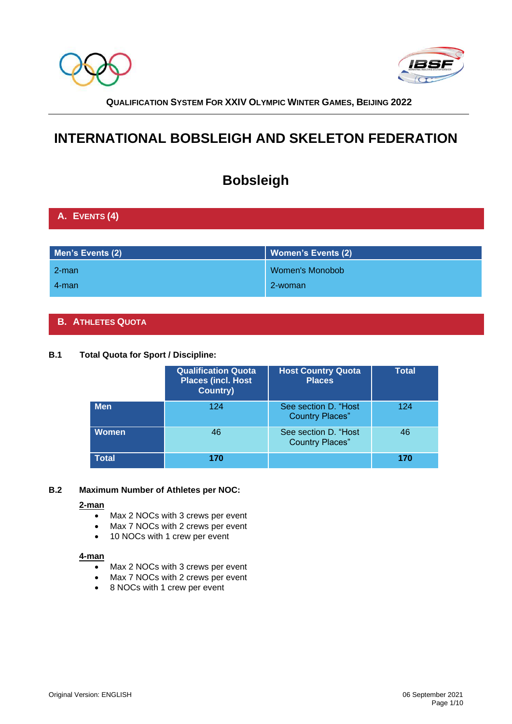



# **INTERNATIONAL BOBSLEIGH AND SKELETON FEDERATION**

# **Bobsleigh**

# **A. EVENTS (4)**

| Men's Events (2) | Women's Events (2)     |
|------------------|------------------------|
| $2$ -man         | <b>Women's Monobob</b> |
| 4-man            | 2-woman                |

# **B. ATHLETES QUOTA**

# **B.1 Total Quota for Sport / Discipline:**

|              | <b>Qualification Quota</b><br><b>Places (incl. Host</b><br><b>Country)</b> | <b>Host Country Quota</b><br><b>Places</b>      | <b>Total</b> |
|--------------|----------------------------------------------------------------------------|-------------------------------------------------|--------------|
| <b>Men</b>   | 124                                                                        | See section D. "Host"<br><b>Country Places"</b> | 124          |
| <b>Women</b> | 46                                                                         | See section D. "Host<br><b>Country Places"</b>  | 46           |
| <b>Total</b> | 170                                                                        |                                                 | 170          |

### **B.2 Maximum Number of Athletes per NOC:**

### **2-man**

- Max 2 NOCs with 3 crews per event
- Max 7 NOCs with 2 crews per event
- 10 NOCs with 1 crew per event

### **4-man**

- Max 2 NOCs with 3 crews per event
- Max 7 NOCs with 2 crews per event
- 8 NOCs with 1 crew per event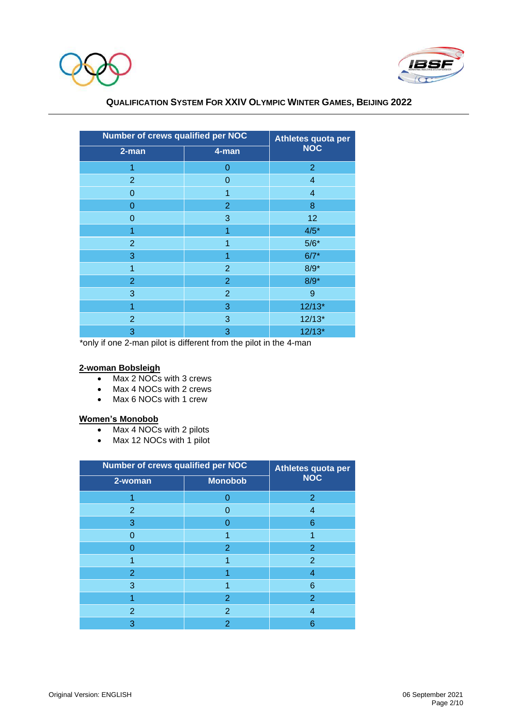



| Number of crews qualified per NOC | Athletes quota per |                |  |
|-----------------------------------|--------------------|----------------|--|
| 2-man                             | $4$ -man           | <b>NOC</b>     |  |
| 1                                 | 0                  | $\overline{2}$ |  |
| $\overline{2}$                    | 0                  | 4              |  |
| $\overline{0}$                    | 1                  | 4              |  |
| $\overline{0}$                    | $\overline{2}$     | 8              |  |
| $\overline{0}$                    | 3                  | 12             |  |
| 1                                 | 1                  | $4/5*$         |  |
| $\overline{2}$                    | 1                  | $5/6*$         |  |
| 3                                 | 1                  | $6/7*$         |  |
| 1                                 | $\overline{2}$     | $8/9*$         |  |
| $\overline{2}$                    | $\overline{2}$     | $8/9*$         |  |
| 3                                 | $\overline{2}$     | 9              |  |
| 1                                 | 3                  | $12/13*$       |  |
| $\overline{2}$                    | 3                  | $12/13*$       |  |
| 3                                 | 3                  | $12/13*$       |  |

\*only if one 2-man pilot is different from the pilot in the 4-man

### **2-woman Bobsleigh**

- Max 2 NOCs with 3 crews
- Max 4 NOCs with 2 crews
- Max 6 NOCs with 1 crew

# **Women's Monobob**

- Max 4 NOCs with 2 pilots
- Max 12 NOCs with 1 pilot

| <b>Number of crews qualified per NOC</b> | Athletes quota per |                |  |
|------------------------------------------|--------------------|----------------|--|
| 2-woman                                  | <b>Monobob</b>     | <b>NOC</b>     |  |
|                                          |                    | 2              |  |
| 2                                        |                    | 4              |  |
| 3                                        |                    | 6              |  |
|                                          |                    |                |  |
|                                          | $\overline{2}$     | $\overline{2}$ |  |
|                                          |                    | $\overline{2}$ |  |
| $\overline{2}$                           |                    | 4              |  |
| 3                                        |                    | 6              |  |
|                                          | $\overline{2}$     | 2              |  |
| 2                                        | 2                  | 4              |  |
| 3                                        | $\overline{2}$     | 6              |  |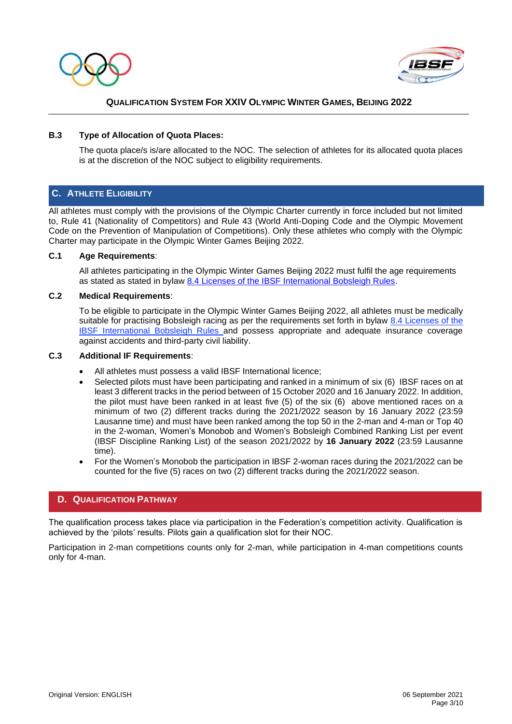



### **B.3 Type of Allocation of Quota Places:**

The quota place/s is/are allocated to the NOC. The selection of athletes for its allocated quota places is at the discretion of the NOC subject to eligibility requirements.

# **C. ATHLETE ELIGIBILITY**

All athletes must comply with the provisions of the Olympic Charter currently in force included but not limited to, Rule 41 (Nationality of Competitors) and Rule 43 (World Anti-Doping Code and the Olympic Movement Code on the Prevention of Manipulation of Competitions). Only these athletes who comply with the Olympic Charter may participate in the Olympic Winter Games Beijing 2022.

### **C.1 Age Requirements**:

All athletes participating in the Olympic Winter Games Beijing 2022 must fulfil the age requirements as stated as stated in bylaw [8.4 Licenses of the IBSF International Bobsleigh Rules.](https://www.ibsf.org/images/documents/downloads/Rules/2019_2020/2019_International_Rules_BOBSLEIGH_am_cl.pdf)

### **C.2 Medical Requirements**:

To be eligible to participate in the Olympic Winter Games Beijing 2022, all athletes must be medically suitable for practising Bobsleigh racing as per the requirements set forth in bylaw 8.4 Licenses of the [IBSF International Bobsleigh Rules](https://www.ibsf.org/images/documents/downloads/Rules/2019_2020/2019_International_Rules_BOBSLEIGH_am_cl.pdf) and possess appropriate and adequate insurance coverage against accidents and third-party civil liability.

### **C.3 Additional IF Requirements**:

- All athletes must possess a valid IBSF International licence;
- Selected pilots must have been participating and ranked in a minimum of six (6) IBSF races on at least 3 different tracks in the period between of 15 October 2020 and 16 January 2022. In addition, the pilot must have been ranked in at least five (5) of the six (6) above mentioned races on a minimum of two (2) different tracks during the 2021/2022 season by 16 January 2022 (23:59 Lausanne time) and must have been ranked among the top 50 in the 2-man and 4-man or Top 40 in the 2-woman, Women's Monobob and Women's Bobsleigh Combined Ranking List per event (IBSF Discipline Ranking List) of the season 2021/2022 by **16 January 2022** (23:59 Lausanne time).
- For the Women's Monobob the participation in IBSF 2-woman races during the 2021/2022 can be counted for the five (5) races on two (2) different tracks during the 2021/2022 season.

### **D. QUALIFICATION PATHWAY**

The qualification process takes place via participation in the Federation's competition activity. Qualification is achieved by the 'pilots' results. Pilots gain a qualification slot for their NOC.

Participation in 2-man competitions counts only for 2-man, while participation in 4-man competitions counts only for 4-man.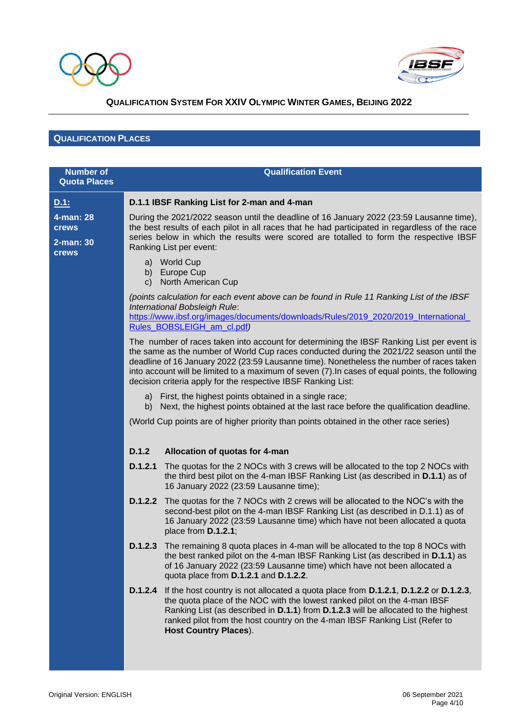



# **QUALIFICATION PLACES**

| <b>Number of</b>          | <b>Qualification Event</b>                                                                                                                                                                                                                                                                                                                                                                                                                           |  |  |  |
|---------------------------|------------------------------------------------------------------------------------------------------------------------------------------------------------------------------------------------------------------------------------------------------------------------------------------------------------------------------------------------------------------------------------------------------------------------------------------------------|--|--|--|
| <b>Quota Places</b>       |                                                                                                                                                                                                                                                                                                                                                                                                                                                      |  |  |  |
| <u>D.1:</u>               | D.1.1 IBSF Ranking List for 2-man and 4-man                                                                                                                                                                                                                                                                                                                                                                                                          |  |  |  |
| 4-man: 28<br><b>crews</b> | During the 2021/2022 season until the deadline of 16 January 2022 (23:59 Lausanne time),<br>the best results of each pilot in all races that he had participated in regardless of the race                                                                                                                                                                                                                                                           |  |  |  |
| 2-man: 30<br><b>crews</b> | series below in which the results were scored are totalled to form the respective IBSF<br>Ranking List per event:                                                                                                                                                                                                                                                                                                                                    |  |  |  |
|                           | a) World Cup<br>b) Europe Cup<br>North American Cup<br>C)                                                                                                                                                                                                                                                                                                                                                                                            |  |  |  |
|                           | (points calculation for each event above can be found in Rule 11 Ranking List of the IBSF<br>International Bobsleigh Rule:<br>https://www.ibsf.org/images/documents/downloads/Rules/2019_2020/2019_International_<br>Rules_BOBSLEIGH_am_cl.pdf)                                                                                                                                                                                                      |  |  |  |
|                           | The number of races taken into account for determining the IBSF Ranking List per event is<br>the same as the number of World Cup races conducted during the 2021/22 season until the<br>deadline of 16 January 2022 (23:59 Lausanne time). Nonetheless the number of races taken<br>into account will be limited to a maximum of seven (7). In cases of equal points, the following<br>decision criteria apply for the respective IBSF Ranking List: |  |  |  |
|                           | a) First, the highest points obtained in a single race;<br>b) Next, the highest points obtained at the last race before the qualification deadline.                                                                                                                                                                                                                                                                                                  |  |  |  |
|                           | (World Cup points are of higher priority than points obtained in the other race series)                                                                                                                                                                                                                                                                                                                                                              |  |  |  |
|                           | D.1.2<br>Allocation of quotas for 4-man                                                                                                                                                                                                                                                                                                                                                                                                              |  |  |  |
|                           | D.1.2.1<br>The quotas for the 2 NOCs with 3 crews will be allocated to the top 2 NOCs with<br>the third best pilot on the 4-man IBSF Ranking List (as described in D.1.1) as of<br>16 January 2022 (23:59 Lausanne time);                                                                                                                                                                                                                            |  |  |  |
|                           | <b>D.1.2.2</b> The quotas for the 7 NOCs with 2 crews will be allocated to the NOC's with the<br>second-best pilot on the 4-man IBSF Ranking List (as described in D.1.1) as of<br>16 January 2022 (23:59 Lausanne time) which have not been allocated a quota<br>place from D.1.2.1;                                                                                                                                                                |  |  |  |
|                           | <b>D.1.2.3</b> The remaining 8 quota places in 4-man will be allocated to the top 8 NOCs with<br>the best ranked pilot on the 4-man IBSF Ranking List (as described in D.1.1) as<br>of 16 January 2022 (23:59 Lausanne time) which have not been allocated a<br>quota place from D.1.2.1 and D.1.2.2.                                                                                                                                                |  |  |  |
|                           | If the host country is not allocated a quota place from <b>D.1.2.1</b> , <b>D.1.2.2</b> or <b>D.1.2.3</b> ,<br>D.1.2.4<br>the quota place of the NOC with the lowest ranked pilot on the 4-man IBSF<br>Ranking List (as described in D.1.1) from D.1.2.3 will be allocated to the highest<br>ranked pilot from the host country on the 4-man IBSF Ranking List (Refer to<br><b>Host Country Places).</b>                                             |  |  |  |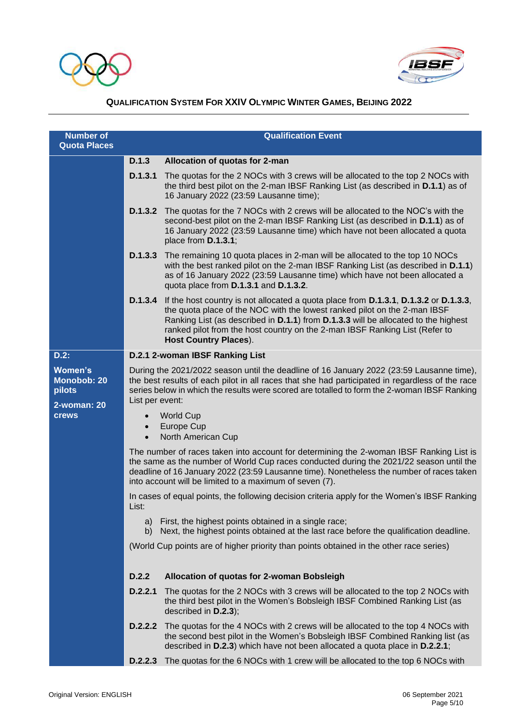



| <b>Number of</b><br><b>Quota Places</b>        | <b>Qualification Event</b>                                                                                                                                |                                                                                                                                                                                                                                                                                                                                                                        |  |
|------------------------------------------------|-----------------------------------------------------------------------------------------------------------------------------------------------------------|------------------------------------------------------------------------------------------------------------------------------------------------------------------------------------------------------------------------------------------------------------------------------------------------------------------------------------------------------------------------|--|
|                                                | D.1.3                                                                                                                                                     | Allocation of quotas for 2-man                                                                                                                                                                                                                                                                                                                                         |  |
|                                                | D.1.3.1                                                                                                                                                   | The quotas for the 2 NOCs with 3 crews will be allocated to the top 2 NOCs with<br>the third best pilot on the 2-man IBSF Ranking List (as described in D.1.1) as of<br>16 January 2022 (23:59 Lausanne time);                                                                                                                                                         |  |
|                                                | D.1.3.2                                                                                                                                                   | The quotas for the 7 NOCs with 2 crews will be allocated to the NOC's with the<br>second-best pilot on the 2-man IBSF Ranking List (as described in D.1.1) as of<br>16 January 2022 (23:59 Lausanne time) which have not been allocated a quota<br>place from D.1.3.1;                                                                                                 |  |
|                                                |                                                                                                                                                           | <b>D.1.3.3</b> The remaining 10 quota places in 2-man will be allocated to the top 10 NOCs<br>with the best ranked pilot on the 2-man IBSF Ranking List (as described in D.1.1)<br>as of 16 January 2022 (23:59 Lausanne time) which have not been allocated a<br>quota place from D.1.3.1 and D.1.3.2.                                                                |  |
|                                                | D.1.3.4                                                                                                                                                   | If the host country is not allocated a quota place from D.1.3.1, D.1.3.2 or D.1.3.3,<br>the quota place of the NOC with the lowest ranked pilot on the 2-man IBSF<br>Ranking List (as described in D.1.1) from D.1.3.3 will be allocated to the highest<br>ranked pilot from the host country on the 2-man IBSF Ranking List (Refer to<br><b>Host Country Places).</b> |  |
| D.2:                                           | D.2.1 2-woman IBSF Ranking List                                                                                                                           |                                                                                                                                                                                                                                                                                                                                                                        |  |
| <b>Women's</b><br><b>Monobob: 20</b><br>pilots | List per event:                                                                                                                                           | During the 2021/2022 season until the deadline of 16 January 2022 (23:59 Lausanne time),<br>the best results of each pilot in all races that she had participated in regardless of the race<br>series below in which the results were scored are totalled to form the 2-woman IBSF Ranking                                                                             |  |
| 2-woman: 20<br><b>crews</b>                    | $\bullet$                                                                                                                                                 | <b>World Cup</b><br>Europe Cup<br>North American Cup                                                                                                                                                                                                                                                                                                                   |  |
|                                                |                                                                                                                                                           | The number of races taken into account for determining the 2-woman IBSF Ranking List is<br>the same as the number of World Cup races conducted during the 2021/22 season until the<br>deadline of 16 January 2022 (23:59 Lausanne time). Nonetheless the number of races taken<br>into account will be limited to a maximum of seven (7).                              |  |
|                                                | List:                                                                                                                                                     | In cases of equal points, the following decision criteria apply for the Women's IBSF Ranking                                                                                                                                                                                                                                                                           |  |
|                                                | First, the highest points obtained in a single race;<br>a)<br>Next, the highest points obtained at the last race before the qualification deadline.<br>b) |                                                                                                                                                                                                                                                                                                                                                                        |  |
|                                                | (World Cup points are of higher priority than points obtained in the other race series)                                                                   |                                                                                                                                                                                                                                                                                                                                                                        |  |
|                                                | D.2.2                                                                                                                                                     | Allocation of quotas for 2-woman Bobsleigh                                                                                                                                                                                                                                                                                                                             |  |
|                                                | D.2.2.1                                                                                                                                                   | The quotas for the 2 NOCs with 3 crews will be allocated to the top 2 NOCs with<br>the third best pilot in the Women's Bobsleigh IBSF Combined Ranking List (as<br>described in D.2.3);                                                                                                                                                                                |  |
|                                                | D.2.2.2                                                                                                                                                   | The quotas for the 4 NOCs with 2 crews will be allocated to the top 4 NOCs with<br>the second best pilot in the Women's Bobsleigh IBSF Combined Ranking list (as<br>described in D.2.3) which have not been allocated a quota place in D.2.2.1;                                                                                                                        |  |
|                                                | D.2.2.3                                                                                                                                                   | The quotas for the 6 NOCs with 1 crew will be allocated to the top 6 NOCs with                                                                                                                                                                                                                                                                                         |  |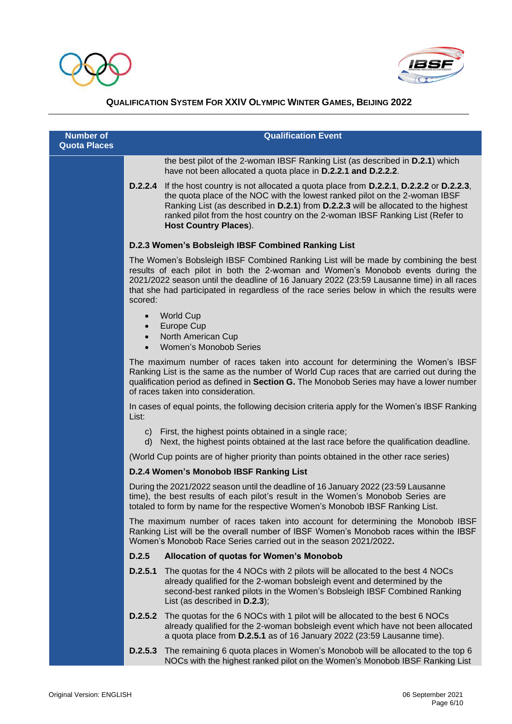



| <b>Quota Places</b><br>the best pilot of the 2-woman IBSF Ranking List (as described in <b>D.2.1</b> ) which<br>have not been allocated a quota place in D.2.2.1 and D.2.2.2.<br>If the host country is not allocated a quota place from D.2.2.1, D.2.2.2 or D.2.2.3,<br>D.2.2.4<br>the quota place of the NOC with the lowest ranked pilot on the 2-woman IBSF<br>Ranking List (as described in D.2.1) from D.2.2.3 will be allocated to the highest<br>ranked pilot from the host country on the 2-woman IBSF Ranking List (Refer to<br><b>Host Country Places).</b><br>D.2.3 Women's Bobsleigh IBSF Combined Ranking List<br>The Women's Bobsleigh IBSF Combined Ranking List will be made by combining the best<br>results of each pilot in both the 2-woman and Women's Monobob events during the<br>2021/2022 season until the deadline of 16 January 2022 (23:59 Lausanne time) in all races<br>that she had participated in regardless of the race series below in which the results were<br>scored:<br><b>World Cup</b><br>$\bullet$<br>Europe Cup<br>$\bullet$<br>North American Cup<br>$\bullet$<br><b>Women's Monobob Series</b><br>$\bullet$<br>The maximum number of races taken into account for determining the Women's IBSF<br>Ranking List is the same as the number of World Cup races that are carried out during the<br>qualification period as defined in Section G. The Monobob Series may have a lower number<br>of races taken into consideration.<br>In cases of equal points, the following decision criteria apply for the Women's IBSF Ranking<br>List:<br>First, the highest points obtained in a single race;<br>C)<br>Next, the highest points obtained at the last race before the qualification deadline.<br>d)<br>(World Cup points are of higher priority than points obtained in the other race series)<br>D.2.4 Women's Monobob IBSF Ranking List<br>During the 2021/2022 season until the deadline of 16 January 2022 (23:59 Lausanne<br>time), the best results of each pilot's result in the Women's Monobob Series are<br>totaled to form by name for the respective Women's Monobob IBSF Ranking List.<br>The maximum number of races taken into account for determining the Monobob IBSF<br>Ranking List will be the overall number of IBSF Women's Monobob races within the IBSF<br>Women's Monobob Race Series carried out in the season 2021/2022.<br>D.2.5<br>Allocation of quotas for Women's Monobob<br>The quotas for the 4 NOCs with 2 pilots will be allocated to the best 4 NOCs<br>D.2.5.1<br>already qualified for the 2-woman bobsleigh event and determined by the<br>second-best ranked pilots in the Women's Bobsleigh IBSF Combined Ranking<br>List (as described in D.2.3);<br><b>D.2.5.2</b> The quotas for the 6 NOCs with 1 pilot will be allocated to the best 6 NOCs<br>already qualified for the 2-woman bobsleigh event which have not been allocated<br>a quota place from D.2.5.1 as of 16 January 2022 (23:59 Lausanne time).<br>The remaining 6 quota places in Women's Monobob will be allocated to the top 6<br>D.2.5.3<br>NOCs with the highest ranked pilot on the Women's Monobob IBSF Ranking List | <b>Number of</b> | <b>Qualification Event</b> |  |  |
|-----------------------------------------------------------------------------------------------------------------------------------------------------------------------------------------------------------------------------------------------------------------------------------------------------------------------------------------------------------------------------------------------------------------------------------------------------------------------------------------------------------------------------------------------------------------------------------------------------------------------------------------------------------------------------------------------------------------------------------------------------------------------------------------------------------------------------------------------------------------------------------------------------------------------------------------------------------------------------------------------------------------------------------------------------------------------------------------------------------------------------------------------------------------------------------------------------------------------------------------------------------------------------------------------------------------------------------------------------------------------------------------------------------------------------------------------------------------------------------------------------------------------------------------------------------------------------------------------------------------------------------------------------------------------------------------------------------------------------------------------------------------------------------------------------------------------------------------------------------------------------------------------------------------------------------------------------------------------------------------------------------------------------------------------------------------------------------------------------------------------------------------------------------------------------------------------------------------------------------------------------------------------------------------------------------------------------------------------------------------------------------------------------------------------------------------------------------------------------------------------------------------------------------------------------------------------------------------------------------------------------------------------------------------------------------------------------------------------------------------------------------------------------------------------------------------------------------------------------------------------------------------------------------------------------------------------------------------------------------------------------------------------------------------------------------------------------------------------------------------------------------------------------------------------------------|------------------|----------------------------|--|--|
|                                                                                                                                                                                                                                                                                                                                                                                                                                                                                                                                                                                                                                                                                                                                                                                                                                                                                                                                                                                                                                                                                                                                                                                                                                                                                                                                                                                                                                                                                                                                                                                                                                                                                                                                                                                                                                                                                                                                                                                                                                                                                                                                                                                                                                                                                                                                                                                                                                                                                                                                                                                                                                                                                                                                                                                                                                                                                                                                                                                                                                                                                                                                                                                   |                  |                            |  |  |
|                                                                                                                                                                                                                                                                                                                                                                                                                                                                                                                                                                                                                                                                                                                                                                                                                                                                                                                                                                                                                                                                                                                                                                                                                                                                                                                                                                                                                                                                                                                                                                                                                                                                                                                                                                                                                                                                                                                                                                                                                                                                                                                                                                                                                                                                                                                                                                                                                                                                                                                                                                                                                                                                                                                                                                                                                                                                                                                                                                                                                                                                                                                                                                                   |                  |                            |  |  |
|                                                                                                                                                                                                                                                                                                                                                                                                                                                                                                                                                                                                                                                                                                                                                                                                                                                                                                                                                                                                                                                                                                                                                                                                                                                                                                                                                                                                                                                                                                                                                                                                                                                                                                                                                                                                                                                                                                                                                                                                                                                                                                                                                                                                                                                                                                                                                                                                                                                                                                                                                                                                                                                                                                                                                                                                                                                                                                                                                                                                                                                                                                                                                                                   |                  |                            |  |  |
|                                                                                                                                                                                                                                                                                                                                                                                                                                                                                                                                                                                                                                                                                                                                                                                                                                                                                                                                                                                                                                                                                                                                                                                                                                                                                                                                                                                                                                                                                                                                                                                                                                                                                                                                                                                                                                                                                                                                                                                                                                                                                                                                                                                                                                                                                                                                                                                                                                                                                                                                                                                                                                                                                                                                                                                                                                                                                                                                                                                                                                                                                                                                                                                   |                  |                            |  |  |
|                                                                                                                                                                                                                                                                                                                                                                                                                                                                                                                                                                                                                                                                                                                                                                                                                                                                                                                                                                                                                                                                                                                                                                                                                                                                                                                                                                                                                                                                                                                                                                                                                                                                                                                                                                                                                                                                                                                                                                                                                                                                                                                                                                                                                                                                                                                                                                                                                                                                                                                                                                                                                                                                                                                                                                                                                                                                                                                                                                                                                                                                                                                                                                                   |                  |                            |  |  |
|                                                                                                                                                                                                                                                                                                                                                                                                                                                                                                                                                                                                                                                                                                                                                                                                                                                                                                                                                                                                                                                                                                                                                                                                                                                                                                                                                                                                                                                                                                                                                                                                                                                                                                                                                                                                                                                                                                                                                                                                                                                                                                                                                                                                                                                                                                                                                                                                                                                                                                                                                                                                                                                                                                                                                                                                                                                                                                                                                                                                                                                                                                                                                                                   |                  |                            |  |  |
|                                                                                                                                                                                                                                                                                                                                                                                                                                                                                                                                                                                                                                                                                                                                                                                                                                                                                                                                                                                                                                                                                                                                                                                                                                                                                                                                                                                                                                                                                                                                                                                                                                                                                                                                                                                                                                                                                                                                                                                                                                                                                                                                                                                                                                                                                                                                                                                                                                                                                                                                                                                                                                                                                                                                                                                                                                                                                                                                                                                                                                                                                                                                                                                   |                  |                            |  |  |
|                                                                                                                                                                                                                                                                                                                                                                                                                                                                                                                                                                                                                                                                                                                                                                                                                                                                                                                                                                                                                                                                                                                                                                                                                                                                                                                                                                                                                                                                                                                                                                                                                                                                                                                                                                                                                                                                                                                                                                                                                                                                                                                                                                                                                                                                                                                                                                                                                                                                                                                                                                                                                                                                                                                                                                                                                                                                                                                                                                                                                                                                                                                                                                                   |                  |                            |  |  |
|                                                                                                                                                                                                                                                                                                                                                                                                                                                                                                                                                                                                                                                                                                                                                                                                                                                                                                                                                                                                                                                                                                                                                                                                                                                                                                                                                                                                                                                                                                                                                                                                                                                                                                                                                                                                                                                                                                                                                                                                                                                                                                                                                                                                                                                                                                                                                                                                                                                                                                                                                                                                                                                                                                                                                                                                                                                                                                                                                                                                                                                                                                                                                                                   |                  |                            |  |  |
|                                                                                                                                                                                                                                                                                                                                                                                                                                                                                                                                                                                                                                                                                                                                                                                                                                                                                                                                                                                                                                                                                                                                                                                                                                                                                                                                                                                                                                                                                                                                                                                                                                                                                                                                                                                                                                                                                                                                                                                                                                                                                                                                                                                                                                                                                                                                                                                                                                                                                                                                                                                                                                                                                                                                                                                                                                                                                                                                                                                                                                                                                                                                                                                   |                  |                            |  |  |
|                                                                                                                                                                                                                                                                                                                                                                                                                                                                                                                                                                                                                                                                                                                                                                                                                                                                                                                                                                                                                                                                                                                                                                                                                                                                                                                                                                                                                                                                                                                                                                                                                                                                                                                                                                                                                                                                                                                                                                                                                                                                                                                                                                                                                                                                                                                                                                                                                                                                                                                                                                                                                                                                                                                                                                                                                                                                                                                                                                                                                                                                                                                                                                                   |                  |                            |  |  |
|                                                                                                                                                                                                                                                                                                                                                                                                                                                                                                                                                                                                                                                                                                                                                                                                                                                                                                                                                                                                                                                                                                                                                                                                                                                                                                                                                                                                                                                                                                                                                                                                                                                                                                                                                                                                                                                                                                                                                                                                                                                                                                                                                                                                                                                                                                                                                                                                                                                                                                                                                                                                                                                                                                                                                                                                                                                                                                                                                                                                                                                                                                                                                                                   |                  |                            |  |  |
|                                                                                                                                                                                                                                                                                                                                                                                                                                                                                                                                                                                                                                                                                                                                                                                                                                                                                                                                                                                                                                                                                                                                                                                                                                                                                                                                                                                                                                                                                                                                                                                                                                                                                                                                                                                                                                                                                                                                                                                                                                                                                                                                                                                                                                                                                                                                                                                                                                                                                                                                                                                                                                                                                                                                                                                                                                                                                                                                                                                                                                                                                                                                                                                   |                  |                            |  |  |
|                                                                                                                                                                                                                                                                                                                                                                                                                                                                                                                                                                                                                                                                                                                                                                                                                                                                                                                                                                                                                                                                                                                                                                                                                                                                                                                                                                                                                                                                                                                                                                                                                                                                                                                                                                                                                                                                                                                                                                                                                                                                                                                                                                                                                                                                                                                                                                                                                                                                                                                                                                                                                                                                                                                                                                                                                                                                                                                                                                                                                                                                                                                                                                                   |                  |                            |  |  |
|                                                                                                                                                                                                                                                                                                                                                                                                                                                                                                                                                                                                                                                                                                                                                                                                                                                                                                                                                                                                                                                                                                                                                                                                                                                                                                                                                                                                                                                                                                                                                                                                                                                                                                                                                                                                                                                                                                                                                                                                                                                                                                                                                                                                                                                                                                                                                                                                                                                                                                                                                                                                                                                                                                                                                                                                                                                                                                                                                                                                                                                                                                                                                                                   |                  |                            |  |  |
|                                                                                                                                                                                                                                                                                                                                                                                                                                                                                                                                                                                                                                                                                                                                                                                                                                                                                                                                                                                                                                                                                                                                                                                                                                                                                                                                                                                                                                                                                                                                                                                                                                                                                                                                                                                                                                                                                                                                                                                                                                                                                                                                                                                                                                                                                                                                                                                                                                                                                                                                                                                                                                                                                                                                                                                                                                                                                                                                                                                                                                                                                                                                                                                   |                  |                            |  |  |
|                                                                                                                                                                                                                                                                                                                                                                                                                                                                                                                                                                                                                                                                                                                                                                                                                                                                                                                                                                                                                                                                                                                                                                                                                                                                                                                                                                                                                                                                                                                                                                                                                                                                                                                                                                                                                                                                                                                                                                                                                                                                                                                                                                                                                                                                                                                                                                                                                                                                                                                                                                                                                                                                                                                                                                                                                                                                                                                                                                                                                                                                                                                                                                                   |                  |                            |  |  |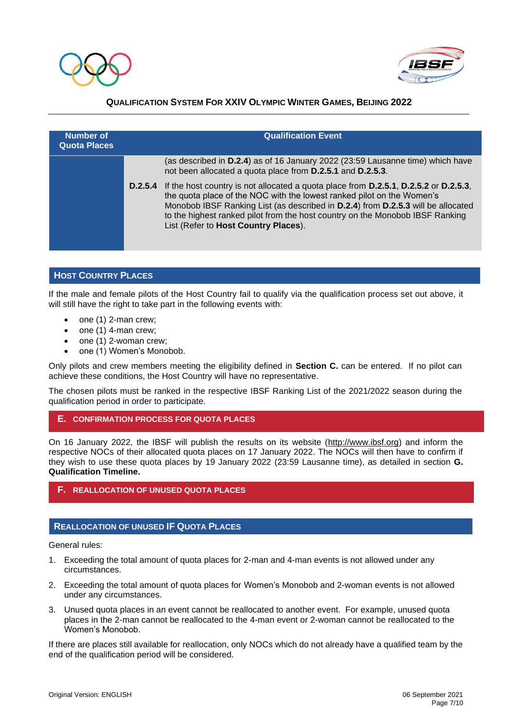



| Number of<br><b>Quota Places</b> | <b>Qualification Event</b>                                                                                                                                                                                                                                                                                                                                                          |  |  |
|----------------------------------|-------------------------------------------------------------------------------------------------------------------------------------------------------------------------------------------------------------------------------------------------------------------------------------------------------------------------------------------------------------------------------------|--|--|
|                                  | (as described in D.2.4) as of 16 January 2022 (23:59 Lausanne time) which have<br>not been allocated a quota place from D.2.5.1 and D.2.5.3.                                                                                                                                                                                                                                        |  |  |
|                                  | D.2.5.4 If the host country is not allocated a quota place from D.2.5.1, D.2.5.2 or D.2.5.3,<br>the quota place of the NOC with the lowest ranked pilot on the Women's<br>Monobob IBSF Ranking List (as described in D.2.4) from D.2.5.3 will be allocated<br>to the highest ranked pilot from the host country on the Monobob IBSF Ranking<br>List (Refer to Host Country Places). |  |  |

### **HOST COUNTRY PLACES**

If the male and female pilots of the Host Country fail to qualify via the qualification process set out above, it will still have the right to take part in the following events with:

- one (1) 2-man crew;
- one (1) 4-man crew;
- one (1) 2-woman crew;
- one (1) Women's Monobob.

Only pilots and crew members meeting the eligibility defined in **Section C.** can be entered. If no pilot can achieve these conditions, the Host Country will have no representative.

The chosen pilots must be ranked in the respective IBSF Ranking List of the 2021/2022 season during the qualification period in order to participate.

### **E. CONFIRMATION PROCESS FOR QUOTA PLACES**

On 16 January 2022, the IBSF will publish the results on its website [\(http://www.ibsf.org\)](http://www.ibsf.org/) and inform the respective NOCs of their allocated quota places on 17 January 2022. The NOCs will then have to confirm if they wish to use these quota places by 19 January 2022 (23:59 Lausanne time), as detailed in section **G. Qualification Timeline.**

### **F. REALLOCATION OF UNUSED QUOTA PLACES**

### **REALLOCATION OF UNUSED IF QUOTA PLACES**

General rules:

- 1. Exceeding the total amount of quota places for 2-man and 4-man events is not allowed under any circumstances.
- 2. Exceeding the total amount of quota places for Women's Monobob and 2-woman events is not allowed under any circumstances.
- 3. Unused quota places in an event cannot be reallocated to another event. For example, unused quota places in the 2-man cannot be reallocated to the 4-man event or 2-woman cannot be reallocated to the Women's Monobob.

If there are places still available for reallocation, only NOCs which do not already have a qualified team by the end of the qualification period will be considered.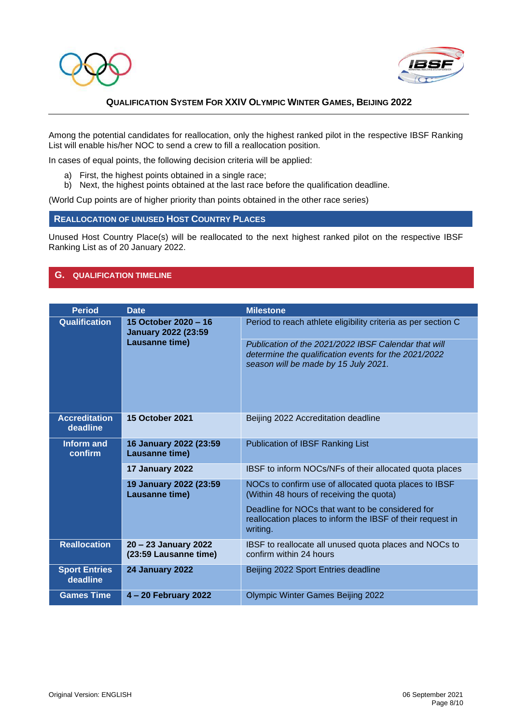



Among the potential candidates for reallocation, only the highest ranked pilot in the respective IBSF Ranking List will enable his/her NOC to send a crew to fill a reallocation position.

In cases of equal points, the following decision criteria will be applied:

- a) First, the highest points obtained in a single race;
- b) Next, the highest points obtained at the last race before the qualification deadline.

(World Cup points are of higher priority than points obtained in the other race series)

### **REALLOCATION OF UNUSED HOST COUNTRY PLACES**

Unused Host Country Place(s) will be reallocated to the next highest ranked pilot on the respective IBSF Ranking List as of 20 January 2022.

### **G. QUALIFICATION TIMELINE**

| <b>Period</b>                    | <b>Date</b>                                                          | <b>Milestone</b>                                                                                                                                     |
|----------------------------------|----------------------------------------------------------------------|------------------------------------------------------------------------------------------------------------------------------------------------------|
| <b>Qualification</b>             | 15 October 2020 - 16<br><b>January 2022 (23:59</b><br>Lausanne time) | Period to reach athlete eligibility criteria as per section C                                                                                        |
|                                  |                                                                      | Publication of the 2021/2022 IBSF Calendar that will<br>determine the qualification events for the 2021/2022<br>season will be made by 15 July 2021. |
| <b>Accreditation</b><br>deadline | <b>15 October 2021</b>                                               | Beijing 2022 Accreditation deadline                                                                                                                  |
| Inform and<br>confirm            | 16 January 2022 (23:59<br>Lausanne time)                             | Publication of IBSF Ranking List                                                                                                                     |
|                                  | 17 January 2022                                                      | IBSF to inform NOCs/NFs of their allocated quota places                                                                                              |
|                                  | 19 January 2022 (23:59<br>Lausanne time)                             | NOCs to confirm use of allocated quota places to IBSF<br>(Within 48 hours of receiving the quota)                                                    |
|                                  |                                                                      | Deadline for NOCs that want to be considered for<br>reallocation places to inform the IBSF of their request in<br>writing.                           |
| <b>Reallocation</b>              | 20 - 23 January 2022<br>(23:59 Lausanne time)                        | IBSF to reallocate all unused quota places and NOCs to<br>confirm within 24 hours                                                                    |
| <b>Sport Entries</b><br>deadline | <b>24 January 2022</b>                                               | Beijing 2022 Sport Entries deadline                                                                                                                  |
| <b>Games Time</b>                | 4 – 20 February 2022                                                 | <b>Olympic Winter Games Beijing 2022</b>                                                                                                             |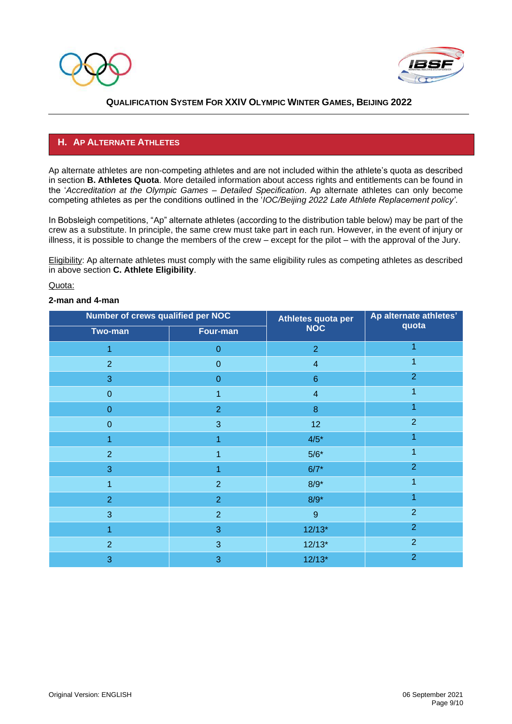



# **H. AP ALTERNATE ATHLETES**

Ap alternate athletes are non-competing athletes and are not included within the athlete's quota as described in section **B. Athletes Quota**. More detailed information about access rights and entitlements can be found in the '*Accreditation at the Olympic Games – Detailed Specification*. Ap alternate athletes can only become competing athletes as per the conditions outlined in the '*IOC/Beijing 2022 Late Athlete Replacement policy'*.

In Bobsleigh competitions, "Ap" alternate athletes (according to the distribution table below) may be part of the crew as a substitute. In principle, the same crew must take part in each run. However, in the event of injury or illness, it is possible to change the members of the crew – except for the pilot – with the approval of the Jury.

Eligibility: Ap alternate athletes must comply with the same eligibility rules as competing athletes as described in above section **C. Athlete Eligibility**.

#### Quota:

#### **2-man and 4-man**

| Number of crews qualified per NOC |                | Athletes quota per | Ap alternate athletes' |
|-----------------------------------|----------------|--------------------|------------------------|
| Two-man                           | Four-man       | <b>NOC</b>         | quota                  |
| 1                                 | $\mathbf{0}$   | $\overline{2}$     | 1                      |
| $\overline{2}$                    | $\mathbf{0}$   | $\overline{4}$     |                        |
| 3                                 | $\mathbf{0}$   | $\,6\,$            | $\overline{2}$         |
| $\overline{0}$                    | 1              | $\overline{4}$     | 1                      |
| $\overline{0}$                    | $\overline{2}$ | $\bf 8$            | 1                      |
| $\boldsymbol{0}$                  | 3              | 12 <sub>2</sub>    | $\overline{2}$         |
| 1                                 | 1              | $4/5*$             |                        |
| $\overline{2}$                    | 1              | $5/6*$             | 1                      |
| 3                                 | 4              | $6/7*$             | $\overline{2}$         |
| 1                                 | $\overline{2}$ | $8/9*$             | 1                      |
| $\overline{2}$                    | $\overline{2}$ | $8/9*$             | 1                      |
| 3                                 | $\overline{2}$ | $9\,$              | $\overline{2}$         |
| 1                                 | 3              | $12/13*$           | $\overline{2}$         |
| $\overline{2}$                    | 3              | $12/13*$           | $\overline{2}$         |
| 3                                 | 3              | $12/13*$           | $\overline{2}$         |